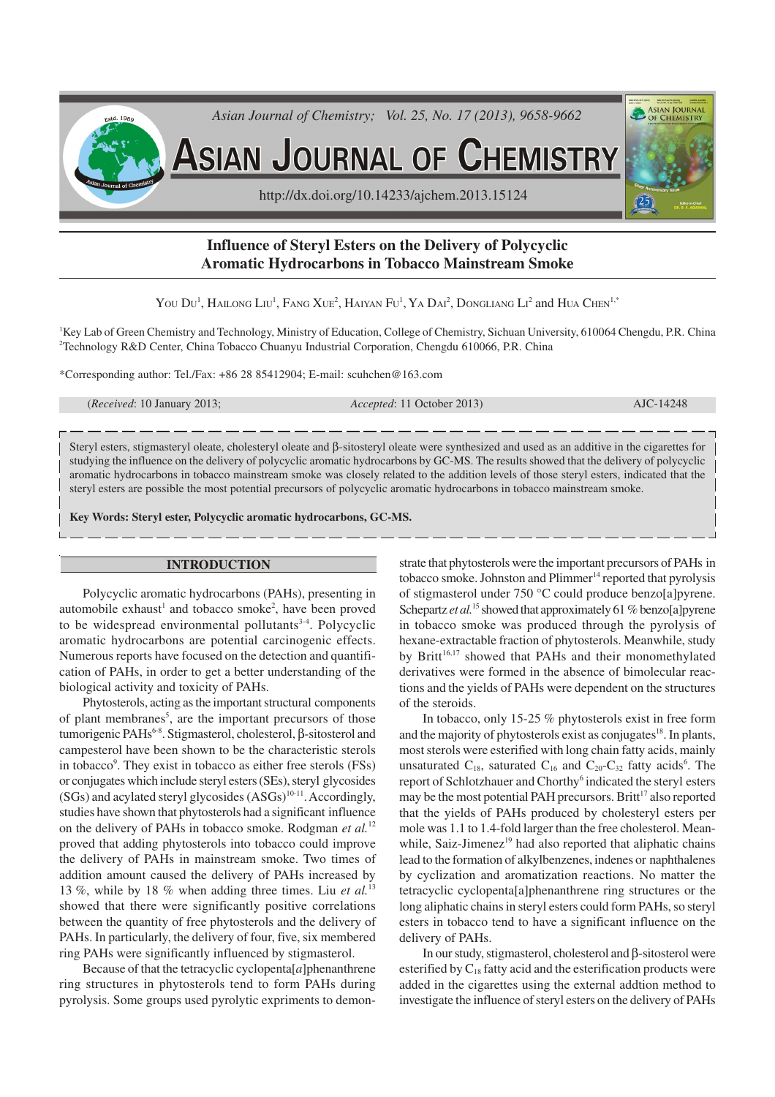

# **Influence of Steryl Esters on the Delivery of Polycyclic Aromatic Hydrocarbons in Tobacco Mainstream Smoke**

You Du<sup>1</sup>, Hailong Liu<sup>1</sup>, Fang Xue<sup>2</sup>, Haiyan Fu<sup>1</sup>, Ya Dai<sup>2</sup>, Dongliang Li<sup>2</sup> and Hua Chen<sup>1,\*</sup>

<sup>1</sup>Key Lab of Green Chemistry and Technology, Ministry of Education, College of Chemistry, Sichuan University, 610064 Chengdu, P.R. China <sup>2</sup>Technology R&D Center, China Tobacco Chuanyu Industrial Corporation, Chengdu 610066, P.R. China

\*Corresponding author: Tel./Fax: +86 28 85412904; E-mail: scuhchen@163.com

(*Received*: 10 January 2013; *Accepted*: 11 October 2013) AJC-14248

Steryl esters, stigmasteryl oleate, cholesteryl oleate and β-sitosteryl oleate were synthesized and used as an additive in the cigarettes for studying the influence on the delivery of polycyclic aromatic hydrocarbons by GC-MS. The results showed that the delivery of polycyclic aromatic hydrocarbons in tobacco mainstream smoke was closely related to the addition levels of those steryl esters, indicated that the steryl esters are possible the most potential precursors of polycyclic aromatic hydrocarbons in tobacco mainstream smoke.

**Key Words: Steryl ester, Polycyclic aromatic hydrocarbons, GC-MS.**

#### **INTRODUCTION**

Polycyclic aromatic hydrocarbons (PAHs), presenting in automobile exhaust<sup>1</sup> and tobacco smoke<sup>2</sup>, have been proved to be widespread environmental pollutants $3-4$ . Polycyclic aromatic hydrocarbons are potential carcinogenic effects. Numerous reports have focused on the detection and quantification of PAHs, in order to get a better understanding of the biological activity and toxicity of PAHs.

Phytosterols, acting as the important structural components of plant membranes<sup>5</sup>, are the important precursors of those tumorigenic PAHs<sup>6-8</sup>. Stigmasterol, cholesterol, β-sitosterol and campesterol have been shown to be the characteristic sterols in tobacco<sup>9</sup>. They exist in tobacco as either free sterols (FSs) or conjugates which include steryl esters (SEs), steryl glycosides  $(SGs)$  and acylated steryl glycosides  $(ASGs)^{10-11}$ . Accordingly, studies have shown that phytosterols had a significant influence on the delivery of PAHs in tobacco smoke. Rodgman *et al.*<sup>12</sup> proved that adding phytosterols into tobacco could improve the delivery of PAHs in mainstream smoke. Two times of addition amount caused the delivery of PAHs increased by 13 %, while by 18 % when adding three times. Liu *et al.*<sup>13</sup> showed that there were significantly positive correlations between the quantity of free phytosterols and the delivery of PAHs. In particularly, the delivery of four, five, six membered ring PAHs were significantly influenced by stigmasterol.

Because of that the tetracyclic cyclopenta $[a]$ phenanthrene ring structures in phytosterols tend to form PAHs during pyrolysis. Some groups used pyrolytic expriments to demon-

strate that phytosterols were the important precursors of PAHs in tobacco smoke. Johnston and Plimmer<sup>14</sup> reported that pyrolysis of stigmasterol under 750 °C could produce benzo[a]pyrene. Schepartz *et al.*<sup>15</sup> showed that approximately 61 % benzo[a]pyrene in tobacco smoke was produced through the pyrolysis of hexane-extractable fraction of phytosterols. Meanwhile, study by Britt<sup>16,17</sup> showed that PAHs and their monomethylated derivatives were formed in the absence of bimolecular reactions and the yields of PAHs were dependent on the structures of the steroids.

In tobacco, only 15-25 % phytosterols exist in free form and the majority of phytosterols exist as conjugates<sup>18</sup>. In plants, most sterols were esterified with long chain fatty acids, mainly unsaturated  $C_{18}$ , saturated  $C_{16}$  and  $C_{20}$ - $C_{32}$  fatty acids<sup>6</sup>. The report of Schlotzhauer and Chorthy 6 indicated the steryl esters may be the most potential PAH precursors. Britt<sup>17</sup> also reported that the yields of PAHs produced by cholesteryl esters per mole was 1.1 to 1.4-fold larger than the free cholesterol. Meanwhile, Saiz-Jimenez $19$  had also reported that aliphatic chains lead to the formation of alkylbenzenes, indenes or naphthalenes by cyclization and aromatization reactions. No matter the tetracyclic cyclopenta[a]phenanthrene ring structures or the long aliphatic chains in steryl esters could form PAHs, so steryl esters in tobacco tend to have a significant influence on the delivery of PAHs.

In our study, stigmasterol, cholesterol and β-sitosterol were esterified by  $C_{18}$  fatty acid and the esterification products were added in the cigarettes using the external addtion method to investigate the influence of steryl esters on the delivery of PAHs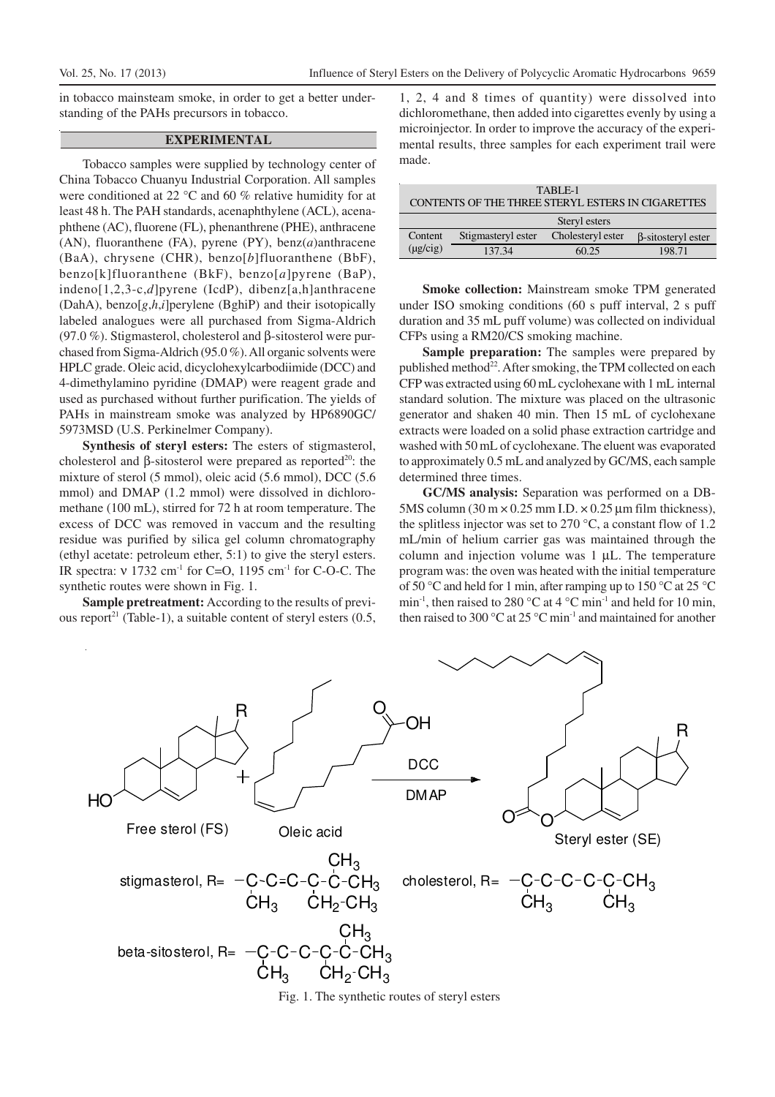in tobacco mainsteam smoke, in order to get a better understanding of the PAHs precursors in tobacco.

### **EXPERIMENTAL**

Tobacco samples were supplied by technology center of China Tobacco Chuanyu Industrial Corporation. All samples were conditioned at 22 °C and 60 % relative humidity for at least 48 h. The PAH standards, acenaphthylene (ACL), acenaphthene (AC), fluorene (FL), phenanthrene (PHE), anthracene (AN), fluoranthene (FA), pyrene (PY), benz(*a*)anthracene (BaA), chrysene (CHR), benzo[*b*]fluoranthene (BbF), benzo[k]fluoranthene (BkF), benzo[*a*]pyrene (BaP), indeno[1,2,3-c,*d*]pyrene (IcdP), dibenz[a,h]anthracene (DahA), benzo[*g*,*h*,*i*]perylene (BghiP) and their isotopically labeled analogues were all purchased from Sigma-Aldrich (97.0 %). Stigmasterol, cholesterol and β-sitosterol were purchased from Sigma-Aldrich (95.0 %). All organic solvents were HPLC grade. Oleic acid, dicyclohexylcarbodiimide (DCC) and 4-dimethylamino pyridine (DMAP) were reagent grade and used as purchased without further purification. The yields of PAHs in mainstream smoke was analyzed by HP6890GC/ 5973MSD (U.S. Perkinelmer Company).

**Synthesis of steryl esters:** The esters of stigmasterol, cholesterol and β-sitosterol were prepared as reported<sup>20</sup>: the mixture of sterol (5 mmol), oleic acid (5.6 mmol), DCC (5.6 mmol) and DMAP (1.2 mmol) were dissolved in dichloromethane (100 mL), stirred for 72 h at room temperature. The excess of DCC was removed in vaccum and the resulting residue was purified by silica gel column chromatography (ethyl acetate: petroleum ether, 5:1) to give the steryl esters. IR spectra: ν 1732 cm-1 for C=O, 1195 cm-1 for C-O-C. The synthetic routes were shown in Fig. 1.

**Sample pretreatment:** According to the results of previous report<sup>21</sup> (Table-1), a suitable content of steryl esters (0.5,

1, 2, 4 and 8 times of quantity) were dissolved into dichloromethane, then added into cigarettes evenly by using a microinjector. In order to improve the accuracy of the experimental results, three samples for each experiment trail were made.

| TABLE-1<br>CONTENTS OF THE THREE STERYL ESTERS IN CIGARETTES |                    |                   |                           |  |  |  |  |
|--------------------------------------------------------------|--------------------|-------------------|---------------------------|--|--|--|--|
| Steryl esters                                                |                    |                   |                           |  |  |  |  |
| Content                                                      | Stigmasteryl ester | Cholesteryl ester | $\beta$ -sitosteryl ester |  |  |  |  |
| $(\mu \text{g/cig})$                                         | 137.34             | 60.25             | 198.71                    |  |  |  |  |

**Smoke collection:** Mainstream smoke TPM generated under ISO smoking conditions (60 s puff interval, 2 s puff duration and 35 mL puff volume) was collected on individual CFPs using a RM20/CS smoking machine.

**Sample preparation:** The samples were prepared by published method<sup>22</sup>. After smoking, the TPM collected on each CFP was extracted using 60 mL cyclohexane with 1 mL internal standard solution. The mixture was placed on the ultrasonic generator and shaken 40 min. Then 15 mL of cyclohexane extracts were loaded on a solid phase extraction cartridge and washed with 50 mL of cyclohexane. The eluent was evaporated to approximately 0.5 mL and analyzed by GC/MS, each sample determined three times.

**GC/MS analysis:** Separation was performed on a DB-5MS column (30 m  $\times$  0.25 mm I.D.  $\times$  0.25 µm film thickness), the splitless injector was set to 270 °C, a constant flow of 1.2 mL/min of helium carrier gas was maintained through the column and injection volume was  $1 \mu L$ . The temperature program was: the oven was heated with the initial temperature of 50 °C and held for 1 min, after ramping up to 150 °C at 25 °C min<sup>-1</sup>, then raised to 280 °C at 4 °C min<sup>-1</sup> and held for 10 min, then raised to 300  $\mathrm{^{\circ}C}$  at 25  $\mathrm{^{\circ}C}$  min<sup>-1</sup> and maintained for another



Fig. 1. The synthetic routes of steryl esters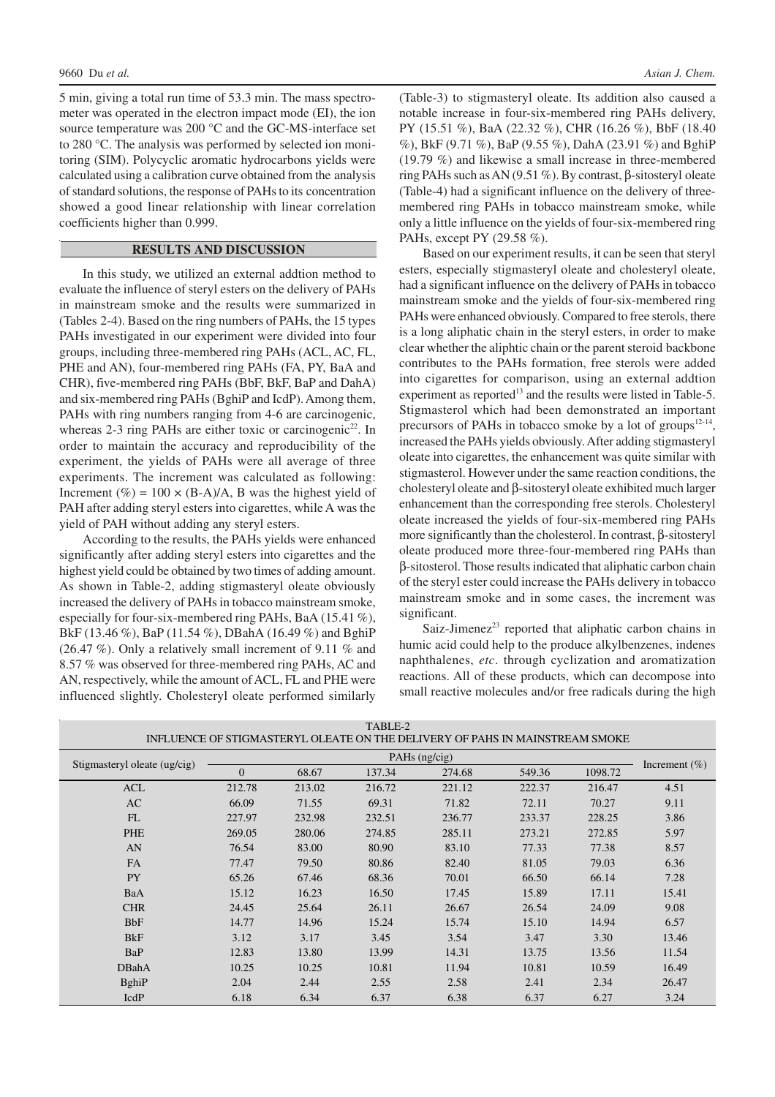5 min, giving a total run time of 53.3 min. The mass spectrometer was operated in the electron impact mode (EI), the ion source temperature was 200 °C and the GC-MS-interface set to 280 °C. The analysis was performed by selected ion monitoring (SIM). Polycyclic aromatic hydrocarbons yields were calculated using a calibration curve obtained from the analysis of standard solutions, the response of PAHs to its concentration showed a good linear relationship with linear correlation coefficients higher than 0.999.

#### **RESULTS AND DISCUSSION**

In this study, we utilized an external addtion method to evaluate the influence of steryl esters on the delivery of PAHs in mainstream smoke and the results were summarized in (Tables 2-4). Based on the ring numbers of PAHs, the 15 types PAHs investigated in our experiment were divided into four groups, including three-membered ring PAHs (ACL, AC, FL, PHE and AN), four-membered ring PAHs (FA, PY, BaA and CHR), five-membered ring PAHs (BbF, BkF, BaP and DahA) and six-membered ring PAHs (BghiP and IcdP). Among them, PAHs with ring numbers ranging from 4-6 are carcinogenic, whereas 2-3 ring PAHs are either toxic or carcinogenic<sup>22</sup>. In order to maintain the accuracy and reproducibility of the experiment, the yields of PAHs were all average of three experiments. The increment was calculated as following: Increment (%) = 100  $\times$  (B-A)/A, B was the highest yield of PAH after adding steryl esters into cigarettes, while A was the yield of PAH without adding any steryl esters.

According to the results, the PAHs yields were enhanced significantly after adding steryl esters into cigarettes and the highest yield could be obtained by two times of adding amount. As shown in Table-2, adding stigmasteryl oleate obviously increased the delivery of PAHs in tobacco mainstream smoke, especially for four-six-membered ring PAHs, BaA (15.41 %), BkF (13.46 %), BaP (11.54 %), DBahA (16.49 %) and BghiP (26.47 %). Only a relatively small increment of 9.11 % and 8.57 % was observed for three-membered ring PAHs, AC and AN, respectively, while the amount of ACL, FL and PHE were influenced slightly. Cholesteryl oleate performed similarly

(Table-3) to stigmasteryl oleate. Its addition also caused a notable increase in four-six-membered ring PAHs delivery, PY (15.51 %), BaA (22.32 %), CHR (16.26 %), BbF (18.40 %), BkF (9.71 %), BaP (9.55 %), DahA (23.91 %) and BghiP (19.79 %) and likewise a small increase in three-membered ring PAHs such as AN (9.51 %). By contrast, β-sitosteryl oleate (Table-4) had a significant influence on the delivery of threemembered ring PAHs in tobacco mainstream smoke, while only a little influence on the yields of four-six-membered ring PAHs, except PY (29.58 %).

Based on our experiment results, it can be seen that steryl esters, especially stigmasteryl oleate and cholesteryl oleate, had a significant influence on the delivery of PAHs in tobacco mainstream smoke and the yields of four-six-membered ring PAHs were enhanced obviously. Compared to free sterols, there is a long aliphatic chain in the steryl esters, in order to make clear whether the aliphtic chain or the parent steroid backbone contributes to the PAHs formation, free sterols were added into cigarettes for comparison, using an external addtion experiment as reported<sup>13</sup> and the results were listed in Table-5. Stigmasterol which had been demonstrated an important precursors of PAHs in tobacco smoke by a lot of groups<sup>12-14</sup>, increased the PAHs yields obviously. After adding stigmasteryl oleate into cigarettes, the enhancement was quite similar with stigmasterol. However under the same reaction conditions, the cholesteryl oleate and β-sitosteryl oleate exhibited much larger enhancement than the corresponding free sterols. Cholesteryl oleate increased the yields of four-six-membered ring PAHs more significantly than the cholesterol. In contrast, β-sitosteryl oleate produced more three-four-membered ring PAHs than β-sitosterol. Those results indicated that aliphatic carbon chain of the steryl ester could increase the PAHs delivery in tobacco mainstream smoke and in some cases, the increment was significant.

Saiz-Jimenez<sup>23</sup> reported that aliphatic carbon chains in humic acid could help to the produce alkylbenzenes, indenes naphthalenes, *etc*. through cyclization and aromatization reactions. All of these products, which can decompose into small reactive molecules and/or free radicals during the high

| <u>VE DIROMANIER IE OEEAIE VAN INE DEEN ER FOR IN MINDIR MANEAMN OMVIRE</u> |          |        |        |        |        |         |                   |
|-----------------------------------------------------------------------------|----------|--------|--------|--------|--------|---------|-------------------|
|                                                                             |          |        |        |        |        |         |                   |
| Stigmasteryl oleate (ug/cig)                                                | $\Omega$ | 68.67  | 137.34 | 274.68 | 549.36 | 1098.72 | Increment $(\% )$ |
| ACL                                                                         | 212.78   | 213.02 | 216.72 | 221.12 | 222.37 | 216.47  | 4.51              |
| AC                                                                          | 66.09    | 71.55  | 69.31  | 71.82  | 72.11  | 70.27   | 9.11              |
| FL                                                                          | 227.97   | 232.98 | 232.51 | 236.77 | 233.37 | 228.25  | 3.86              |
| PHE                                                                         | 269.05   | 280.06 | 274.85 | 285.11 | 273.21 | 272.85  | 5.97              |
| AN                                                                          | 76.54    | 83.00  | 80.90  | 83.10  | 77.33  | 77.38   | 8.57              |
| <b>FA</b>                                                                   | 77.47    | 79.50  | 80.86  | 82.40  | 81.05  | 79.03   | 6.36              |
| <b>PY</b>                                                                   | 65.26    | 67.46  | 68.36  | 70.01  | 66.50  | 66.14   | 7.28              |
| BaA                                                                         | 15.12    | 16.23  | 16.50  | 17.45  | 15.89  | 17.11   | 15.41             |
| <b>CHR</b>                                                                  | 24.45    | 25.64  | 26.11  | 26.67  | 26.54  | 24.09   | 9.08              |
| <b>BbF</b>                                                                  | 14.77    | 14.96  | 15.24  | 15.74  | 15.10  | 14.94   | 6.57              |
| <b>B</b> <sub>kF</sub>                                                      | 3.12     | 3.17   | 3.45   | 3.54   | 3.47   | 3.30    | 13.46             |
| BaP                                                                         | 12.83    | 13.80  | 13.99  | 14.31  | 13.75  | 13.56   | 11.54             |
| <b>DBahA</b>                                                                | 10.25    | 10.25  | 10.81  | 11.94  | 10.81  | 10.59   | 16.49             |
| <b>B</b> ghiP                                                               | 2.04     | 2.44   | 2.55   | 2.58   | 2.41   | 2.34    | 26.47             |
| IcdP                                                                        | 6.18     | 6.34   | 6.37   | 6.38   | 6.37   | 6.27    | 3.24              |

TABLE-2 INFLUENCE OF STIGMASTERYL OLEATE ON THE DELIVERY OF PAHS IN MAINSTREAM SMOKE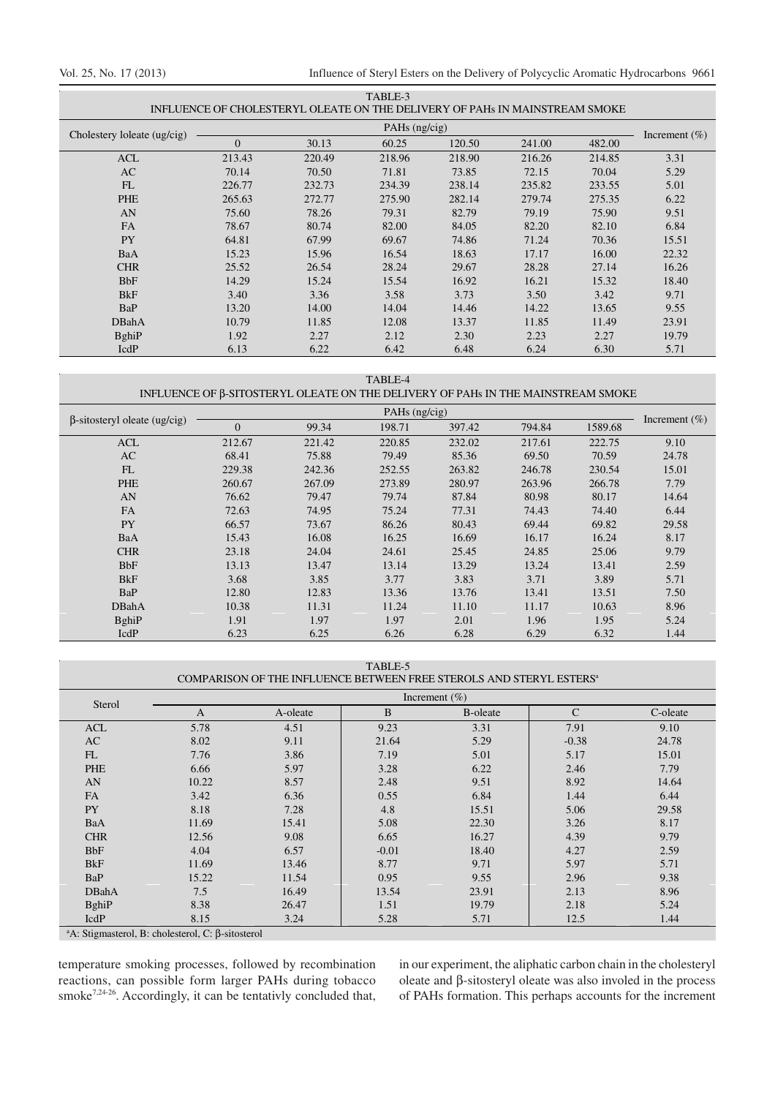Vol. 25, No. 17 (2013) Influence of Steryl Esters on the Delivery of Polycyclic Aromatic Hydrocarbons 9661

| TABLE-3<br>INFLUENCE OF CHOLESTERYL OLEATE ON THE DELIVERY OF PAHS IN MAINSTREAM SMOKE |                 |        |        |        |        |        |                   |
|----------------------------------------------------------------------------------------|-----------------|--------|--------|--------|--------|--------|-------------------|
|                                                                                        | PAHs $(ng/cig)$ |        |        |        |        |        |                   |
| Cholestery loleate (ug/cig)                                                            | $\overline{0}$  | 30.13  | 60.25  | 120.50 | 241.00 | 482.00 | Increment $(\% )$ |
| <b>ACL</b>                                                                             | 213.43          | 220.49 | 218.96 | 218.90 | 216.26 | 214.85 | 3.31              |
| AC                                                                                     | 70.14           | 70.50  | 71.81  | 73.85  | 72.15  | 70.04  | 5.29              |
| FL                                                                                     | 226.77          | 232.73 | 234.39 | 238.14 | 235.82 | 233.55 | 5.01              |
| PHE                                                                                    | 265.63          | 272.77 | 275.90 | 282.14 | 279.74 | 275.35 | 6.22              |
| AN                                                                                     | 75.60           | 78.26  | 79.31  | 82.79  | 79.19  | 75.90  | 9.51              |
| <b>FA</b>                                                                              | 78.67           | 80.74  | 82.00  | 84.05  | 82.20  | 82.10  | 6.84              |
| <b>PY</b>                                                                              | 64.81           | 67.99  | 69.67  | 74.86  | 71.24  | 70.36  | 15.51             |
| BaA                                                                                    | 15.23           | 15.96  | 16.54  | 18.63  | 17.17  | 16.00  | 22.32             |
| <b>CHR</b>                                                                             | 25.52           | 26.54  | 28.24  | 29.67  | 28.28  | 27.14  | 16.26             |
| <b>BbF</b>                                                                             | 14.29           | 15.24  | 15.54  | 16.92  | 16.21  | 15.32  | 18.40             |
| <b>B</b> <sub>kF</sub>                                                                 | 3.40            | 3.36   | 3.58   | 3.73   | 3.50   | 3.42   | 9.71              |
| BaP                                                                                    | 13.20           | 14.00  | 14.04  | 14.46  | 14.22  | 13.65  | 9.55              |
| <b>DBahA</b>                                                                           | 10.79           | 11.85  | 12.08  | 13.37  | 11.85  | 11.49  | 23.91             |
| <b>B</b> ghiP                                                                          | 1.92            | 2.27   | 2.12   | 2.30   | 2.23   | 2.27   | 19.79             |
| IcdP                                                                                   | 6.13            | 6.22   | 6.42   | 6.48   | 6.24   | 6.30   | 5.71              |

TABLE-4

### INFLUENCE OF β-SITOSTERYL OLEATE ON THE DELIVERY OF PAHs IN THE MAINSTREAM SMOKE

|                                     | PAHs $(ng/cig)$ |        |        |        |        |         |                   |
|-------------------------------------|-----------------|--------|--------|--------|--------|---------|-------------------|
| $\beta$ -sitosteryl oleate (ug/cig) | $\overline{0}$  | 99.34  | 198.71 | 397.42 | 794.84 | 1589.68 | Increment $(\% )$ |
| <b>ACL</b>                          | 212.67          | 221.42 | 220.85 | 232.02 | 217.61 | 222.75  | 9.10              |
| AC                                  | 68.41           | 75.88  | 79.49  | 85.36  | 69.50  | 70.59   | 24.78             |
| FL                                  | 229.38          | 242.36 | 252.55 | 263.82 | 246.78 | 230.54  | 15.01             |
| PHE                                 | 260.67          | 267.09 | 273.89 | 280.97 | 263.96 | 266.78  | 7.79              |
| AN                                  | 76.62           | 79.47  | 79.74  | 87.84  | 80.98  | 80.17   | 14.64             |
| <b>FA</b>                           | 72.63           | 74.95  | 75.24  | 77.31  | 74.43  | 74.40   | 6.44              |
| <b>PY</b>                           | 66.57           | 73.67  | 86.26  | 80.43  | 69.44  | 69.82   | 29.58             |
| BaA                                 | 15.43           | 16.08  | 16.25  | 16.69  | 16.17  | 16.24   | 8.17              |
| <b>CHR</b>                          | 23.18           | 24.04  | 24.61  | 25.45  | 24.85  | 25.06   | 9.79              |
| <b>BbF</b>                          | 13.13           | 13.47  | 13.14  | 13.29  | 13.24  | 13.41   | 2.59              |
| <b>B</b> <sub>kF</sub>              | 3.68            | 3.85   | 3.77   | 3.83   | 3.71   | 3.89    | 5.71              |
| BaP                                 | 12.80           | 12.83  | 13.36  | 13.76  | 13.41  | 13.51   | 7.50              |
| <b>DBahA</b>                        | 10.38           | 11.31  | 11.24  | 11.10  | 11.17  | 10.63   | 8.96              |
| <b>B</b> ghiP                       | 1.91            | 1.97   | 1.97   | 2.01   | 1.96   | 1.95    | 5.24              |
| IcdP                                | 6.23            | 6.25   | 6.26   | 6.28   | 6.29   | 6.32    | 1.44              |

TABLE-5

#### COMPARISON OF THE INFLUENCE BETWEEN FREE STEROLS AND STERYL ESTERS $^{\mathrm{a}}$

| Sterol                 | Increment $(\% )$ |          |         |                 |               |          |  |  |  |
|------------------------|-------------------|----------|---------|-----------------|---------------|----------|--|--|--|
|                        | A                 | A-oleate | B       | <b>B-oleate</b> | $\mathcal{C}$ | C-oleate |  |  |  |
| <b>ACL</b>             | 5.78              | 4.51     | 9.23    | 3.31            | 7.91          | 9.10     |  |  |  |
| AC                     | 8.02              | 9.11     | 21.64   | 5.29            | $-0.38$       | 24.78    |  |  |  |
| FL                     | 7.76              | 3.86     | 7.19    | 5.01            | 5.17          | 15.01    |  |  |  |
| PHE                    | 6.66              | 5.97     | 3.28    | 6.22            | 2.46          | 7.79     |  |  |  |
| AN                     | 10.22             | 8.57     | 2.48    | 9.51            | 8.92          | 14.64    |  |  |  |
| <b>FA</b>              | 3.42              | 6.36     | 0.55    | 6.84            | 1.44          | 6.44     |  |  |  |
| <b>PY</b>              | 8.18              | 7.28     | 4.8     | 15.51           | 5.06          | 29.58    |  |  |  |
| BaA                    | 11.69             | 15.41    | 5.08    | 22.30           | 3.26          | 8.17     |  |  |  |
| <b>CHR</b>             | 12.56             | 9.08     | 6.65    | 16.27           | 4.39          | 9.79     |  |  |  |
| <b>BbF</b>             | 4.04              | 6.57     | $-0.01$ | 18.40           | 4.27          | 2.59     |  |  |  |
| <b>B</b> <sub>kF</sub> | 11.69             | 13.46    | 8.77    | 9.71            | 5.97          | 5.71     |  |  |  |
| BaP                    | 15.22             | 11.54    | 0.95    | 9.55            | 2.96          | 9.38     |  |  |  |
| DBahA                  | 7.5               | 16.49    | 13.54   | 23.91           | 2.13          | 8.96     |  |  |  |
| <b>BghiP</b>           | 8.38              | 26.47    | 1.51    | 19.79           | 2.18          | 5.24     |  |  |  |
| IcdP                   | 8.15              | 3.24     | 5.28    | 5.71            | 12.5          | 1.44     |  |  |  |

<sup>a</sup>A: Stigmasterol, B: cholesterol, C: β-sitosterol

temperature smoking processes, followed by recombination reactions, can possible form larger PAHs during tobacco smoke<sup>7,24-26</sup>. Accordingly, it can be tentativly concluded that,

in our experiment, the aliphatic carbon chain in the cholesteryl oleate and β-sitosteryl oleate was also involed in the process of PAHs formation. This perhaps accounts for the increment